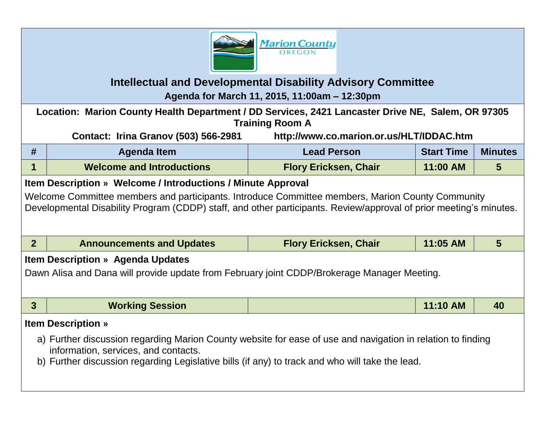

## **Intellectual and Developmental Disability Advisory Committee**

**Agenda for March 11, 2015, 11:00am – 12:30pm**

**Location: Marion County Health Department / DD Services, 2421 Lancaster Drive NE, Salem, OR 97305 Training Room A**

**Contact: Irina Granov (503) 566-2981 http://www.co.marion.or.us/HLT/IDDAC.htm**

| #                                                                                                                                                                                                                                                                                      | <b>Agenda Item</b>               | <b>Lead Person</b>           | <b>Start Time</b> | <b>Minutes</b> |  |  |  |  |
|----------------------------------------------------------------------------------------------------------------------------------------------------------------------------------------------------------------------------------------------------------------------------------------|----------------------------------|------------------------------|-------------------|----------------|--|--|--|--|
|                                                                                                                                                                                                                                                                                        | <b>Welcome and Introductions</b> | <b>Flory Ericksen, Chair</b> | 11:00 AM          | 5              |  |  |  |  |
| Item Description » Welcome / Introductions / Minute Approval<br>Welcome Committee members and participants. Introduce Committee members, Marion County Community<br>Developmental Disability Program (CDDP) staff, and other participants. Review/approval of prior meeting's minutes. |                                  |                              |                   |                |  |  |  |  |
| 2 <sup>1</sup>                                                                                                                                                                                                                                                                         | <b>Announcements and Updates</b> | <b>Flory Ericksen, Chair</b> | 11:05 AM          | 5              |  |  |  |  |
| <b>Item Description » Agenda Updates</b><br>Dawn Alisa and Dana will provide update from February joint CDDP/Brokerage Manager Meeting.                                                                                                                                                |                                  |                              |                   |                |  |  |  |  |

| <b>AM</b><br><b>Working Session</b><br>40<br>11:10 |
|----------------------------------------------------|
|----------------------------------------------------|

## **Item Description »**

- a) Further discussion regarding Marion County website for ease of use and navigation in relation to finding information, services, and contacts.
- b) Further discussion regarding Legislative bills (if any) to track and who will take the lead.